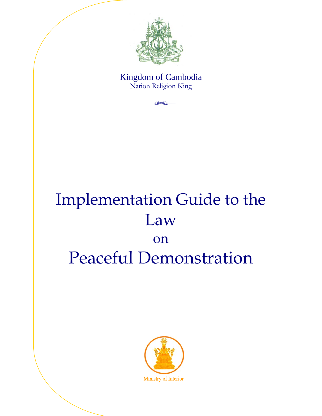

### Kingdom of Cambodia Nation Religion King **44**

# Implementation Guide to the Law on Peaceful Demonstration

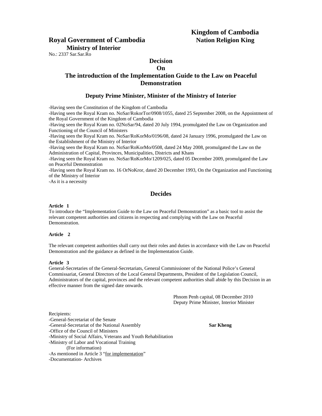## **Kingdom of Cambodia**

#### **Royal Government of Cambodia Nation Religion King Ministry of Interior**

No.: 2337 Sar.Sar.Ro

#### **Decision On**

#### **The introduction of the Implementation Guide to the Law on Peaceful Demonstration**

#### **Deputy Prime Minister, Minister of the Ministry of Interior**

-Having seen the Constitution of the Kingdom of Cambodia

-Having seen the Royal Kram no. NoSar/RokorTor/0908/1055, dated 25 September 2008, on the Appointment of the Royal Government of the Kingdom of Cambodia

-Having seen the Royal Kram no. 02NoSar/94, dated 20 July 1994, promulgated the Law on Organization and Functioning of the Council of Ministers

-Having seen the Royal Kram no. NoSar/RoKorMo/0196/08, dated 24 January 1996, promulgated the Law on the Establishment of the Ministry of Interior

-Having seen the Royal Kram no. NoSar/RoKorMo/0508, dated 24 May 2008, promulgated the Law on the Administration of Capital, Provinces, Municipalities, Districts and Khans

-Having seen the Royal Kram no. NoSar/RoKorMo/1209/025, dated 05 December 2009, promulgated the Law on Peaceful Demonstration

-Having seen the Royal Kram no. 16 OrNoKror, dated 20 December 1993, On the Organization and Functioning of the Ministry of Interior

-As it is a necessity

#### **Decides**

#### **Article 1**

To introduce the "Implementation Guide to the Law on Peaceful Demonstration" as a basic tool to assist the relevant competent authorities and citizens in respecting and complying with the Law on Peaceful Demonstration.

#### **Article 2**

The relevant competent authorities shall carry out their roles and duties in accordance with the Law on Peaceful Demonstration and the guidance as defined in the Implementation Guide.

#### **Article 3**

General-Secretaries of the General-Secretariats, General Commissioner of the National Police's General Commissariat, General Directors of the Local General Departments, President of the Legislation Council, Administrators of the capital, provinces and the relevant competent authorities shall abide by this Decision in an effective manner from the signed date onwards.

> Phnom Penh capital, 08 December 2010 Deputy Prime Minister, Interior Minister

Recipients:

-General-Secretariat of the Senate

-General-Secretariat of the National Assembly **Sar Kheng** 

-Office of the Council of Ministers

-Ministry of Social Affairs, Veterans and Youth Rehabilitation

-Ministry of Labor and Vocational Training

(For information)

-As mentioned in Article 3 "for implementation"

-Documentation- Archives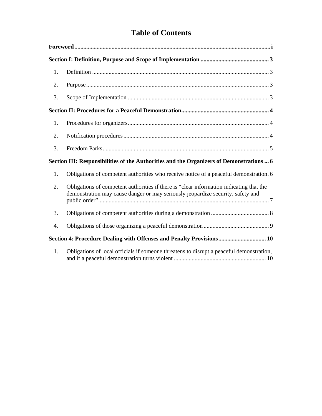### **Table of Contents**

| 1.                                                                                       |                                                                                                                                                                            |
|------------------------------------------------------------------------------------------|----------------------------------------------------------------------------------------------------------------------------------------------------------------------------|
| 2.                                                                                       |                                                                                                                                                                            |
| 3.                                                                                       |                                                                                                                                                                            |
|                                                                                          |                                                                                                                                                                            |
| 1.                                                                                       |                                                                                                                                                                            |
| 2.                                                                                       |                                                                                                                                                                            |
| 3.                                                                                       |                                                                                                                                                                            |
| Section III: Responsibilities of the Authorities and the Organizers of Demonstrations  6 |                                                                                                                                                                            |
| 1.                                                                                       | Obligations of competent authorities who receive notice of a peaceful demonstration. 6                                                                                     |
| 2.                                                                                       | Obligations of competent authorities if there is "clear information indicating that the<br>demonstration may cause danger or may seriously jeopardize security, safety and |
| 3.                                                                                       |                                                                                                                                                                            |
| 4.                                                                                       |                                                                                                                                                                            |
|                                                                                          | Section 4: Procedure Dealing with Offenses and Penalty Provisions 10                                                                                                       |
| 1.                                                                                       | Obligations of local officials if someone threatens to disrupt a peaceful demonstration,                                                                                   |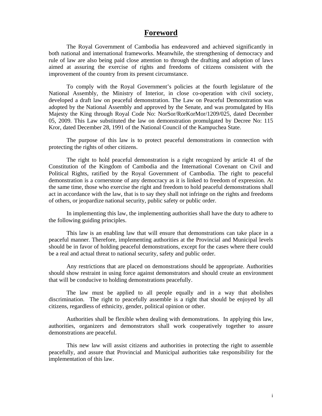#### **Foreword**

The Royal Government of Cambodia has endeavored and achieved significantly in both national and international frameworks. Meanwhile, the strengthening of democracy and rule of law are also being paid close attention to through the drafting and adoption of laws aimed at assuring the exercise of rights and freedoms of citizens consistent with the improvement of the country from its present circumstance.

To comply with the Royal Government's policies at the fourth legislature of the National Assembly, the Ministry of Interior, in close co-operation with civil society, developed a draft law on peaceful demonstration. The Law on Peaceful Demonstration was adopted by the National Assembly and approved by the Senate, and was promulgated by His Majesty the King through Royal Code No: NorSor/RorKorMor/1209/025, dated December 05, 2009. This Law substituted the law on demonstration promulgated by Decree No: 115 Kror, dated December 28, 1991 of the National Council of the Kampuchea State.

The purpose of this law is to protect peaceful demonstrations in connection with protecting the rights of other citizens.

The right to hold peaceful demonstration is a right recognized by article 41 of the Constitution of the Kingdom of Cambodia and the International Covenant on Civil and Political Rights, ratified by the Royal Government of Cambodia. The right to peaceful demonstration is a cornerstone of any democracy as it is linked to freedom of expression. At the same time, those who exercise the right and freedom to hold peaceful demonstrations shall act in accordance with the law, that is to say they shall not infringe on the rights and freedoms of others, or jeopardize national security, public safety or public order.

In implementing this law, the implementing authorities shall have the duty to adhere to the following guiding principles.

This law is an enabling law that will ensure that demonstrations can take place in a peaceful manner. Therefore, implementing authorities at the Provincial and Municipal levels should be in favor of holding peaceful demonstrations, except for the cases where there could be a real and actual threat to national security, safety and public order.

Any restrictions that are placed on demonstrations should be appropriate. Authorities should show restraint in using force against demonstrators and should create an environment that will be conducive to holding demonstrations peacefully.

The law must be applied to all people equally and in a way that abolishes discrimination. The right to peacefully assemble is a right that should be enjoyed by all citizens, regardless of ethnicity, gender, political opinion or other.

Authorities shall be flexible when dealing with demonstrations. In applying this law, authorities, organizers and demonstrators shall work cooperatively together to assure demonstrations are peaceful.

This new law will assist citizens and authorities in protecting the right to assemble peacefully, and assure that Provincial and Municipal authorities take responsibility for the implementation of this law.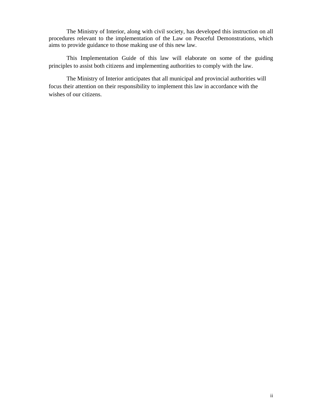The Ministry of Interior, along with civil society, has developed this instruction on all procedures relevant to the implementation of the Law on Peaceful Demonstrations, which aims to provide guidance to those making use of this new law.

This Implementation Guide of this law will elaborate on some of the guiding principles to assist both citizens and implementing authorities to comply with the law.

The Ministry of Interior anticipates that all municipal and provincial authorities will focus their attention on their responsibility to implement this law in accordance with the wishes of our citizens.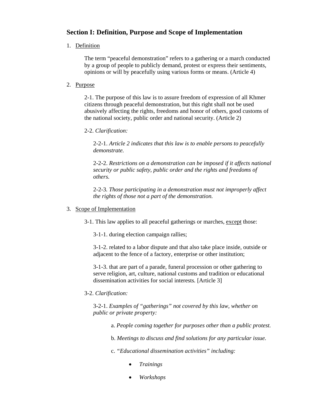#### **Section I: Definition, Purpose and Scope of Implementation**

#### 1. Definition

The term "peaceful demonstration" refers to a gathering or a march conducted by a group of people to publicly demand, protest or express their sentiments, opinions or will by peacefully using various forms or means. (Article 4)

#### 2. Purpose

2-1. The purpose of this law is to assure freedom of expression of all Khmer citizens through peaceful demonstration, but this right shall not be used abusively affecting the rights, freedoms and honor of others, good customs of the national society, public order and national security. (Article 2)

#### 2-2. *Clarification:*

2-2-1. *Article 2 indicates that this law is to enable persons to peacefully demonstrate.* 

2-2-2. *Restrictions on a demonstration can be imposed if it affects national security or public safety, public order and the rights and freedoms of others.* 

2-2-3*. Those participating in a demonstration must not improperly affect the rights of those not a part of the demonstration.* 

#### 3. Scope of Implementation

3-1. This law applies to all peaceful gatherings or marches, except those:

3-1-1. during election campaign rallies;

3-1-2. related to a labor dispute and that also take place inside, outside or adjacent to the fence of a factory, enterprise or other institution;

3-1-3. that are part of a parade, funeral procession or other gathering to serve religion, art, culture, national customs and tradition or educational dissemination activities for social interests*.* [Article 3]

#### 3-2. *Clarification:*

3-2-1. *Examples of "gatherings" not covered by this law, whether on public or private property:* 

a. *People coming together for purposes other than a public protest.* 

b. *Meetings to discuss and find solutions for any particular issue.* 

c. *"Educational dissemination activities" including:* 

- *Trainings*
- *Workshops*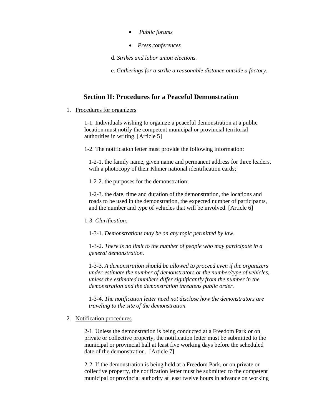- *Public forums*
- *Press conferences*
- d. *Strikes and labor union elections.*

e. *Gatherings for a strike a reasonable distance outside a factory.* 

#### **Section II: Procedures for a Peaceful Demonstration**

#### 1. Procedures for organizers

1-1. Individuals wishing to organize a peaceful demonstration at a public location must notify the competent municipal or provincial territorial authorities in writing. [Article 5]

1-2. The notification letter must provide the following information:

1-2-1. the family name, given name and permanent address for three leaders, with a photocopy of their Khmer national identification cards;

1-2-2. the purposes for the demonstration;

1-2-3. the date, time and duration of the demonstration, the locations and roads to be used in the demonstration, the expected number of participants, and the number and type of vehicles that will be involved. [Article 6]

#### 1-3. *Clarification:*

1-3-1. *Demonstrations may be on any topic permitted by law.* 

1-3-2. *There is no limit to the number of people who may participate in a general demonstration.* 

1-3-3. *A demonstration should be allowed to proceed even if the organizers under-estimate the number of demonstrators or the number/type of vehicles, unless the estimated numbers differ significantly from the number in the demonstration and the demonstration threatens public order.* 

1-3-4. *The notification letter need not disclose how the demonstrators are traveling to the site of the demonstration.* 

#### 2. Notification procedures

2-1. Unless the demonstration is being conducted at a Freedom Park or on private or collective property, the notification letter must be submitted to the municipal or provincial hall at least five working days before the scheduled date of the demonstration. [Article 7]

2-2. If the demonstration is being held at a Freedom Park, or on private or collective property, the notification letter must be submitted to the competent municipal or provincial authority at least twelve hours in advance on working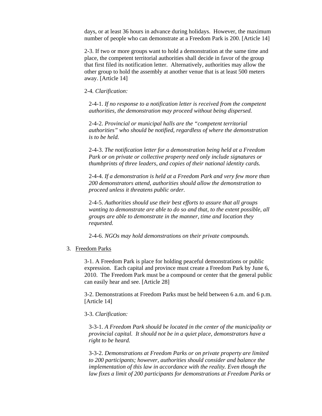days, or at least 36 hours in advance during holidays. However, the maximum number of people who can demonstrate at a Freedom Park is 200. [Article 14]

2-3. If two or more groups want to hold a demonstration at the same time and place, the competent territorial authorities shall decide in favor of the group that first filed its notification letter. Alternatively, authorities may allow the other group to hold the assembly at another venue that is at least 500 meters away. [Article 14]

2-4*. Clarification:*

2-4-1. *If no response to a notification letter is received from the competent authorities, the demonstration may proceed without being dispersed.* 

2-4-2. *Provincial or municipal halls are the "competent territorial authorities" who should be notified, regardless of where the demonstration is to be held.* 

2-4-3. *The notification letter for a demonstration being held at a Freedom Park or on private or collective property need only include signatures or thumbprints of three leaders, and copies of their national identity cards.* 

2-4-4. *If a demonstration is held at a Freedom Park and very few more than 200 demonstrators attend, authorities should allow the demonstration to proceed unless it threatens public order.* 

2-4-5. *Authorities should use their best efforts to assure that all groups wanting to demonstrate are able to do so and that, to the extent possible, all groups are able to demonstrate in the manner, time and location they requested.*

2-4-6. *NGOs may hold demonstrations on their private compounds.*

3. Freedom Parks

3-1. A Freedom Park is place for holding peaceful demonstrations or public expression. Each capital and province must create a Freedom Park by June 6, 2010. The Freedom Park must be a compound or center that the general public can easily hear and see. [Article 28]

3-2. Demonstrations at Freedom Parks must be held between 6 a.m. and 6 p.m. [Article 14]

#### 3-3. *Clarification:*

3-3-1. *A Freedom Park should be located in the center of the municipality or provincial capital. It should not be in a quiet place, demonstrators have a right to be heard.* 

3-3-2. *Demonstrations at Freedom Parks or on private property are limited to 200 participants; however, authorities should consider and balance the implementation of this law in accordance with the reality. Even though the law fixes a limit of 200 participants for demonstrations at Freedom Parks or*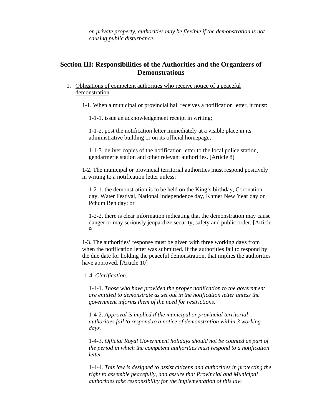*on private property, authorities may be flexible if the demonstration is not causing public disturbance.* 

#### **Section III: Responsibilities of the Authorities and the Organizers of Demonstrations**

1. Obligations of competent authorities who receive notice of a peaceful demonstration

1-1. When a municipal or provincial hall receives a notification letter, it must:

1-1-1. issue an acknowledgement receipt in writing;

1-1-2. post the notification letter immediately at a visible place in its administrative building or on its official homepage;

1-1-3. deliver copies of the notification letter to the local police station, gendarmerie station and other relevant authorities. [Article 8]

1-2. The municipal or provincial territorial authorities must respond positively in writing to a notification letter unless:

1-2-1. the demonstration is to be held on the King's birthday, Coronation day, Water Festival, National Independence day, Khmer New Year day or Pchum Ben day; or

1-2-2. there is clear information indicating that the demonstration may cause danger or may seriously jeopardize security, safety and public order. [Article 9]

1-3. The authorities' response must be given with three working days from when the notification letter was submitted. If the authorities fail to respond by the due date for holding the peaceful demonstration, that implies the authorities have approved. [Article 10]

1-4. *Clarification:* 

1-4-1. *Those who have provided the proper notification to the government are entitled to demonstrate as set out in the notification letter unless the government informs them of the need for restrictions.*

1-4-2. *Approval is implied if the municipal or provincial territorial authorities fail to respond to a notice of demonstration within 3 working days.* 

1-4-3. *Official Royal Government holidays should not be counted as part of the period in which the competent authorities must respond to a notification letter.* 

1-4-4. *This law is designed to assist citizens and authorities in protecting the right to assemble peacefully, and assure that Provincial and Municipal authorities take responsibility for the implementation of this law.*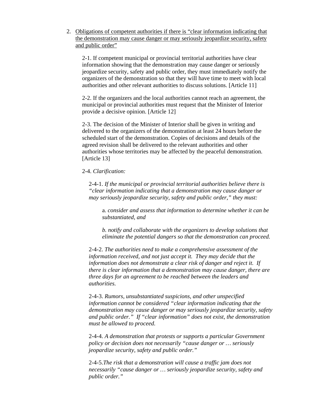2. Obligations of competent authorities if there is "clear information indicating that the demonstration may cause danger or may seriously jeopardize security, safety and public order"

2-1. If competent municipal or provincial territorial authorities have clear information showing that the demonstration may cause danger or seriously jeopardize security, safety and public order, they must immediately notify the organizers of the demonstration so that they will have time to meet with local authorities and other relevant authorities to discuss solutions. [Article 11]

2-2. If the organizers and the local authorities cannot reach an agreement, the municipal or provincial authorities must request that the Minister of Interior provide a decisive opinion. [Article 12]

2-3. The decision of the Minister of Interior shall be given in writing and delivered to the organizers of the demonstration at least 24 hours before the scheduled start of the demonstration. Copies of decisions and details of the agreed revision shall be delivered to the relevant authorities and other authorities whose territories may be affected by the peaceful demonstration. [Article 13]

#### 2-4. *Clarification:*

2-4-1. *If the municipal or provincial territorial authorities believe there is "clear information indicating that a demonstration may cause danger or may seriously jeopardize security, safety and public order," they must:* 

a. *consider and assess that information to determine whether it can be substantiated, and* 

*b. notify and collaborate with the organizers to develop solutions that eliminate the potential dangers so that the demonstration can proceed.* 

2-4-2. *The authorities need to make a comprehensive assessment of the information received, and not just accept it. They may decide that the information does not demonstrate a clear risk of danger and reject it. If there is clear information that a demonstration may cause danger, there are three days for an agreement to be reached between the leaders and authorities.* 

2-4-3. *Rumors, unsubstantiated suspicions, and other unspecified information cannot be considered "clear information indicating that the demonstration may cause danger or may seriously jeopardize security, safety and public order." If "clear information" does not exist, the demonstration must be allowed to proceed.* 

2-4-4. *A demonstration that protests or supports a particular Government policy or decision does not necessarily "cause danger or … seriously jeopardize security, safety and public order."* 

2-4-5.*The risk that a demonstration will cause a traffic jam does not necessarily "cause danger or … seriously jeopardize security, safety and public order."*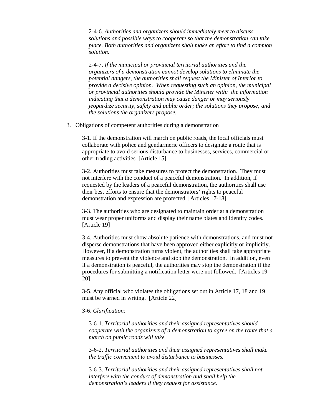2-4-6. *Authorities and organizers should immediately meet to discuss solutions and possible ways to cooperate so that the demonstration can take place. Both authorities and organizers shall make an effort to find a common solution.* 

2-4-7. *If the municipal or provincial territorial authorities and the organizers of a demonstration cannot develop solutions to eliminate the potential dangers, the authorities shall request the Minister of Interior to provide a decisive opinion. When requesting such an opinion, the municipal or provincial authorities should provide the Minister with: the information indicating that a demonstration may cause danger or may seriously jeopardize security, safety and public order; the solutions they propose; and the solutions the organizers propose.*

#### 3. Obligations of competent authorities during a demonstration

3-1. If the demonstration will march on public roads, the local officials must collaborate with police and gendarmerie officers to designate a route that is appropriate to avoid serious disturbance to businesses, services, commercial or other trading activities. [Article 15]

3-2. Authorities must take measures to protect the demonstration. They must not interfere with the conduct of a peaceful demonstration. In addition, if requested by the leaders of a peaceful demonstration, the authorities shall use their best efforts to ensure that the demonstrators' rights to peaceful demonstration and expression are protected. [Articles 17-18]

3-3. The authorities who are designated to maintain order at a demonstration must wear proper uniforms and display their name plates and identity codes. [Article 19]

3-4. Authorities must show absolute patience with demonstrations, and must not disperse demonstrations that have been approved either explicitly or implicitly. However, if a demonstration turns violent, the authorities shall take appropriate measures to prevent the violence and stop the demonstration. In addition, even if a demonstration is peaceful, the authorities may stop the demonstration if the procedures for submitting a notification letter were not followed. [Articles 19- 20]

3-5. Any official who violates the obligations set out in Article 17, 18 and 19 must be warned in writing. [Article 22]

#### 3-6. *Clarification:*

3-6-1. *Territorial authorities and their assigned representatives should cooperate with the organizers of a demonstration to agree on the route that a march on public roads will take.*

3-6-2. *Territorial authorities and their assigned representatives shall make the traffic convenient to avoid disturbance to businesses.* 

3-6-3. *Territorial authorities and their assigned representatives shall not interfere with the conduct of demonstration and shall help the demonstration's leaders if they request for assistance.*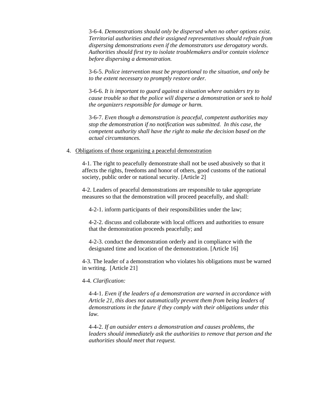3-6-4. *Demonstrations should only be dispersed when no other options exist. Territorial authorities and their assigned representatives should refrain from dispersing demonstrations even if the demonstrators use derogatory words. Authorities should first try to isolate troublemakers and/or contain violence before dispersing a demonstration.* 

3-6-5. *Police intervention must be proportional to the situation, and only be to the extent necessary to promptly restore order.*

3-6-6. *It is important to guard against a situation where outsiders try to cause trouble so that the police will disperse a demonstration or seek to hold the organizers responsible for damage or harm.*

3-6-7. *Even though a demonstration is peaceful, competent authorities may stop the demonstration if no notification was submitted. In this case, the competent authority shall have the right to make the decision based on the actual circumstances.* 

#### 4. Obligations of those organizing a peaceful demonstration

4-1. The right to peacefully demonstrate shall not be used abusively so that it affects the rights, freedoms and honor of others, good customs of the national society, public order or national security. [Article 2]

4-2. Leaders of peaceful demonstrations are responsible to take appropriate measures so that the demonstration will proceed peacefully, and shall:

4-2-1. inform participants of their responsibilities under the law;

4-2-2. discuss and collaborate with local officers and authorities to ensure that the demonstration proceeds peacefully; and

4-2-3. conduct the demonstration orderly and in compliance with the designated time and location of the demonstration. [Article 16]

4-3. The leader of a demonstration who violates his obligations must be warned in writing. [Article 21]

#### 4-4. *Clarification:*

4-4-1. *Even if the leaders of a demonstration are warned in accordance with Article 21, this does not automatically prevent them from being leaders of demonstrations in the future if they comply with their obligations under this law.* 

4-4-2. *If an outsider enters a demonstration and causes problems, the leaders should immediately ask the authorities to remove that person and the authorities should meet that request.*